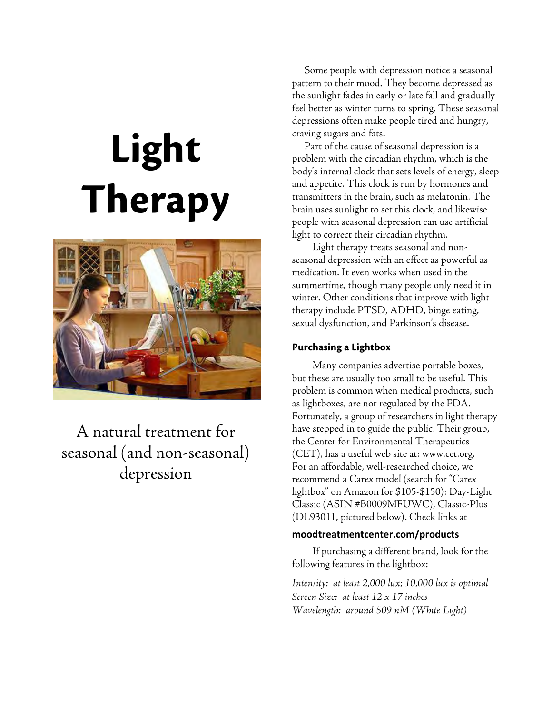# Light Therapy



# A natural treatment for seasonal (and non-seasonal) depression

Some people with depression notice a seasonal pattern to their mood. They become depressed as the sunlight fades in early or late fall and gradually feel better as winter turns to spring. These seasonal depressions often make people tired and hungry, craving sugars and fats.

Part of the cause of seasonal depression is a problem with the circadian rhythm, which is the body's internal clock that sets levels of energy, sleep and appetite. This clock is run by hormones and transmitters in the brain, such as melatonin. The brain uses sunlight to set this clock, and likewise people with seasonal depression can use artificial light to correct their circadian rhythm.

Light therapy treats seasonal and nonseasonal depression with an effect as powerful as medication. It even works when used in the summertime, though many people only need it in winter. Other conditions that improve with light therapy include PTSD, ADHD, binge eating, sexual dysfunction, and Parkinson's disease.

#### Purchasing a Lightbox

Many companies advertise portable boxes, but these are usually too small to be useful. This problem is common when medical products, such as lightboxes, are not regulated by the FDA. Fortunately, a group of researchers in light therapy have stepped in to guide the public. Their group, the Center for Environmental Therapeutics (CET), has a useful web site at: www.cet.org. For an affordable, well-researched choice, we recommend a Carex model (search for "Carex lightbox" on Amazon for \$105-\$150): Day-Light Classic (ASIN #B0009MFUWC), Classic-Plus (DL93011, pictured below). Check links at

#### moodtreatmentcenter.com/products

If purchasing a different brand, look for the following features in the lightbox:

Intensity: at least 2,000 lux; 10,000 lux is optimal Screen Size: at least 12 x 17 inches Wavelength: around 509 nM (White Light)